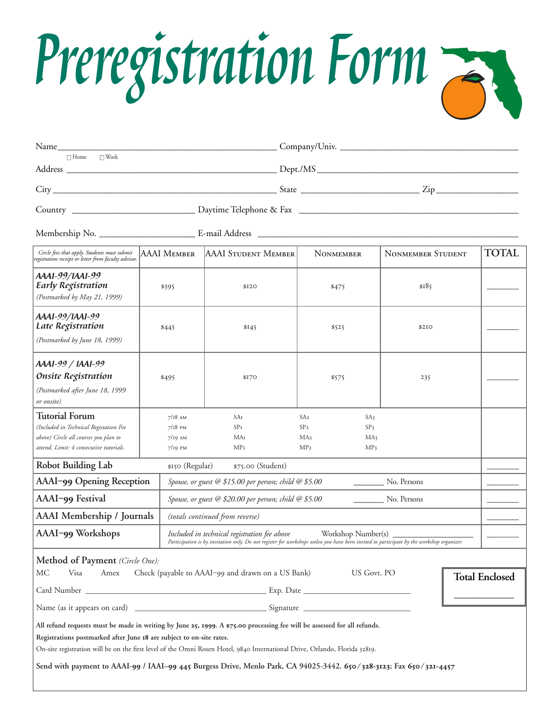

| $\square$ Work<br>$\Box$ Home                                                                                                                                                                                                                                                                                                                                                                                                                                                                                                                                                                               |                                                  |                                                                      |                                                                                                                              |                          |              |  |
|-------------------------------------------------------------------------------------------------------------------------------------------------------------------------------------------------------------------------------------------------------------------------------------------------------------------------------------------------------------------------------------------------------------------------------------------------------------------------------------------------------------------------------------------------------------------------------------------------------------|--------------------------------------------------|----------------------------------------------------------------------|------------------------------------------------------------------------------------------------------------------------------|--------------------------|--------------|--|
|                                                                                                                                                                                                                                                                                                                                                                                                                                                                                                                                                                                                             |                                                  |                                                                      |                                                                                                                              |                          |              |  |
|                                                                                                                                                                                                                                                                                                                                                                                                                                                                                                                                                                                                             |                                                  |                                                                      |                                                                                                                              |                          |              |  |
|                                                                                                                                                                                                                                                                                                                                                                                                                                                                                                                                                                                                             |                                                  |                                                                      |                                                                                                                              |                          |              |  |
|                                                                                                                                                                                                                                                                                                                                                                                                                                                                                                                                                                                                             |                                                  |                                                                      |                                                                                                                              |                          |              |  |
| Circle fees that apply. Students must submit<br>egistration receipt or letter from faculty advisor.                                                                                                                                                                                                                                                                                                                                                                                                                                                                                                         | AAAI Member                                      | AAAI STUDENT MEMBER                                                  | <b>NONMEMBER</b>                                                                                                             | <b>NONMEMBER STUDENT</b> | <b>TOTAL</b> |  |
| AAA1-99/1AA1-99<br><b>Early Registration</b><br>(Postmarked by May 21, 1999)                                                                                                                                                                                                                                                                                                                                                                                                                                                                                                                                | \$395                                            | \$120                                                                | \$475                                                                                                                        | \$185                    |              |  |
| AAA1-99/1AA1-99<br>Late Registration<br>(Postmarked by June 18, 1999)                                                                                                                                                                                                                                                                                                                                                                                                                                                                                                                                       | \$445                                            | \$145                                                                | \$525                                                                                                                        | \$2IO                    |              |  |
| AAA1-99 / IAA1-99<br><b>Onsite Registration</b><br>(Postmarked after June 18, 1999<br>or onsite)                                                                                                                                                                                                                                                                                                                                                                                                                                                                                                            | \$495                                            | \$170                                                                | \$575                                                                                                                        | 235                      |              |  |
| <b>Tutorial Forum</b><br>(Included in Technical Registation Fee<br>above) Circle all courses you plan to<br>attend. Limit: 4 consecutive tutorials.                                                                                                                                                                                                                                                                                                                                                                                                                                                         | $7/18$ AM<br>$7/18$ PM<br>$7/19$ AM<br>$7/19$ PM | SAI<br>SP <sub>I</sub><br>MAI<br>MP1                                 | SA <sub>2</sub><br>SA3<br>SP <sub>2</sub><br>SP <sub>3</sub><br>MA <sub>2</sub><br>MA3<br>MP <sub>2</sub><br>MP <sub>3</sub> |                          |              |  |
| <b>Robot Building Lab</b><br>\$150 (Regular)<br>\$75.00 (Student)                                                                                                                                                                                                                                                                                                                                                                                                                                                                                                                                           |                                                  |                                                                      |                                                                                                                              |                          |              |  |
| AAAI-99 Opening Reception<br>Spouse, or guest @ \$15.00 per person; child @ \$5.00<br>No. Persons                                                                                                                                                                                                                                                                                                                                                                                                                                                                                                           |                                                  |                                                                      |                                                                                                                              |                          |              |  |
| AAAI-99 Festival                                                                                                                                                                                                                                                                                                                                                                                                                                                                                                                                                                                            |                                                  | Spouse, or guest @ \$20.00 per person; child @ \$5.00<br>No. Persons |                                                                                                                              |                          |              |  |
| <b>AAAI</b> Membership / Journals<br>(totals continued from reverse)                                                                                                                                                                                                                                                                                                                                                                                                                                                                                                                                        |                                                  |                                                                      |                                                                                                                              |                          |              |  |
| AAAI-99 Workshops<br>Included in technical registration fee above<br>Workshop Number(s) _<br>Participation is by invitation only. Do not register for workshops unless you have been invited to participate by the workshop organizer.                                                                                                                                                                                                                                                                                                                                                                      |                                                  |                                                                      |                                                                                                                              |                          |              |  |
| Method of Payment (Circle One):<br>MC<br>Visa<br>Check (payable to AAAI-99 and drawn on a US Bank)<br>US Govt. PO<br>Amex<br><b>Total Enclosed</b><br>All refund requests must be made in writing by June 25, 1999. A \$75.00 processing fee will be assessed for all refunds.<br>Registrations postmarked after June 18 are subject to on-site rates.<br>On-site registration will be on the first level of the Omni Rosen Hotel, 9840 International Drive, Orlando, Florida 32819.<br>Send with payment to AAAI-99 / IAAI-99 445 Burgess Drive, Menlo Park, CA 94025-3442. 650/328-3123; Fax 650/321-4457 |                                                  |                                                                      |                                                                                                                              |                          |              |  |
|                                                                                                                                                                                                                                                                                                                                                                                                                                                                                                                                                                                                             |                                                  |                                                                      |                                                                                                                              |                          |              |  |